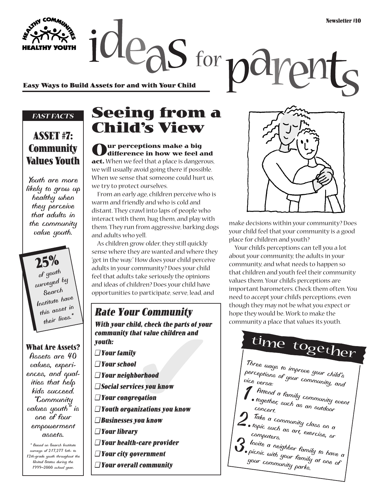**Easy Ways to Build Assets for and with Your Child**

#### *FAST FACTS*

#### **ASSET #7: Community Values Youth**

*Youth are more likely to grow up healthy when they perceive that adults in the community value youth.*

**25%** *of youth surveyed by Search Institute have this asset in their lives.\**

#### **What Are Assets?**

*Assets are 40 values, experiences, and qualities that help kids succeed. "Community values youth" is one of four empowerment assets.*

*\* Based on Search Institute surveys of 217,277 6th- to 12th-grade youth throughout the United States during the 1999–2000 school year..*

#### **Seeing from a Child's View**

 $deg_{s}$  for  $p$  $q_1$ 

### **Our perceptions make a big difference in how we feel and**

**act.** When we feel that a place is dangerous, we will usually avoid going there if possible. When we sense that someone could hurt us, we try to protect ourselves.

From an early age, children perceive who is warm and friendly and who is cold and distant. They crawl into laps of people who interact with them, hug them, and play with them. They run from aggressive, barking dogs and adults who yell.

As children grow older, they still quickly sense where they are wanted and where they "get in the way." How does your child perceive adults in your community? Does your child feel that adults take seriously the opinions and ideas of children? Does your child have opportunities to participate, serve, lead, and

### nild, check the parts of your<br>that value children and<br>ly<br>pl<br>hborhood<br>rices you know<br>regation<br>anizations you know **Rate Your Community With your child, check the parts of your community that value children and youth:** ❑ **Your family**

- ❑ **Your school**
- ❑ **Your neighborhood**
- ❑ **Social services you know**
- ❑ **Your congregation**
- ❑ **Youth organizations you know**
- ❑ **Businesses you know**
- ❑ **Your library**
- ❑ **Your health-care provider**
- ❑ **Your city government**
- ❑ **Your overall community**



make decisions within your community? Does your child feel that your community is a good place for children and youth?

Your child's perceptions can tell you a lot about your community, the adults in your community, and what needs to happen so that children and youth feel their community values them. Your child's perceptions are important barometers. Check them often. You need to accept your child's perceptions, even though they may not be what you expect or hope they would be. Work to make the community a place that values its youth.